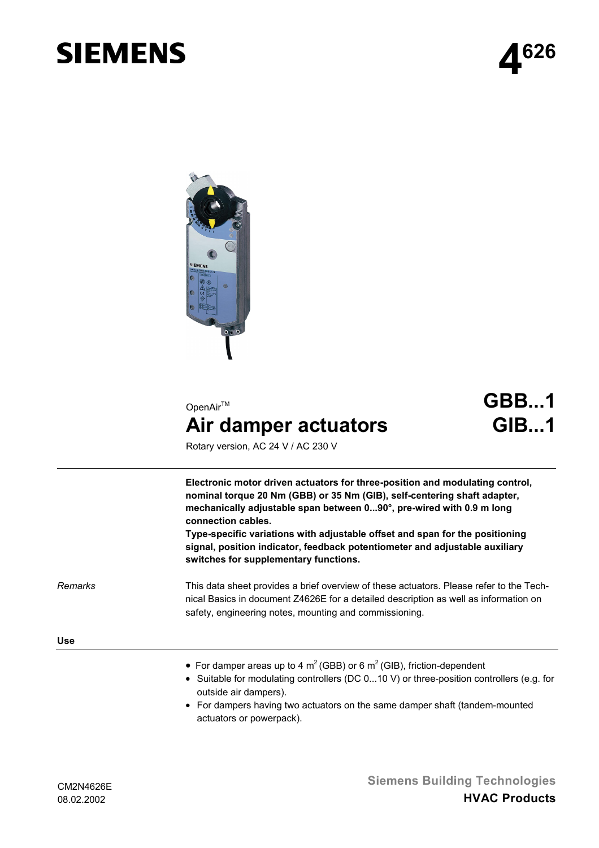# **SIEMENS**



# OpenAir™ **Air damper actuators**

**GBB...1 GIB...1**

Rotary version, AC 24 V / AC 230 V

**Electronic motor driven actuators for three-position and modulating control, nominal torque 20 Nm (GBB) or 35 Nm (GIB), self-centering shaft adapter, mechanically adjustable span between 0...90°, pre-wired with 0.9 m long connection cables.**

**Type-specific variations with adjustable offset and span for the positioning signal, position indicator, feedback potentiometer and adjustable auxiliary switches for supplementary functions.**

*Remarks*

This data sheet provides a brief overview of these actuators. Please refer to the Technical Basics in document Z4626E for a detailed description as well as information on safety, engineering notes, mounting and commissioning.

**Use**

- For damper areas up to 4  $m^2$  (GBB) or 6  $m^2$  (GIB), friction-dependent
- Suitable for modulating controllers (DC 0...10 V) or three-position controllers (e.g. for outside air dampers).
- For dampers having two actuators on the same damper shaft (tandem-mounted actuators or powerpack).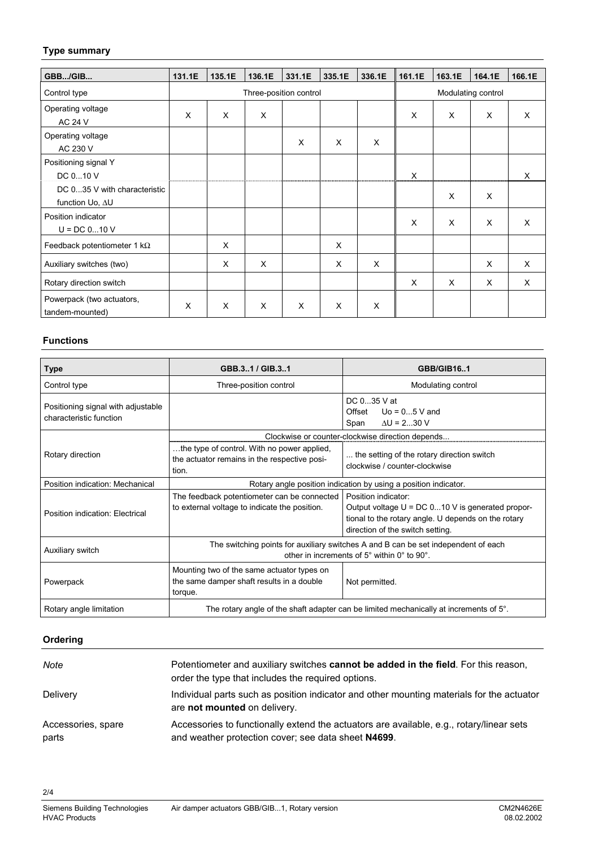#### **Type summary**

| GBB/GIB                                         | 131.1E                 | 135.1E   | 136.1E | 331.1E | 335.1E | 336.1E             | 161.1E | 163.1E | 164.1E | 166.1E   |
|-------------------------------------------------|------------------------|----------|--------|--------|--------|--------------------|--------|--------|--------|----------|
| Control type                                    | Three-position control |          |        |        |        | Modulating control |        |        |        |          |
| Operating voltage<br><b>AC 24 V</b>             | X                      | $\times$ | X      |        |        |                    | X      | X      | X      | $\times$ |
| Operating voltage<br>AC 230 V                   |                        |          |        | X      | X      | $\times$           |        |        |        |          |
| Positioning signal Y<br>DC 010 V                |                        |          |        |        |        |                    | X      |        |        | $\times$ |
| DC 035 V with characteristic<br>function Uo, ∆U |                        |          |        |        |        |                    |        | X      | X      |          |
| Position indicator<br>$U = DC 010 V$            |                        |          |        |        |        |                    | X      | X      | X      | $\times$ |
| Feedback potentiometer 1 k $\Omega$             |                        | X        |        |        | X      |                    |        |        |        |          |
| Auxiliary switches (two)                        |                        | X        | X      |        | X      | X                  |        |        | X      | X        |
| Rotary direction switch                         |                        |          |        |        |        |                    | X      | X      | X      | $\times$ |
| Powerpack (two actuators,<br>tandem-mounted)    | X                      | X        | X      | X      | X      | X                  |        |        |        |          |

#### **Functions**

| Type                                                          | GBB.3.1/GIB.3.1                                                                                                                   | <b>GBB/GIB16.1</b>                                                                                                                                                   |  |  |  |
|---------------------------------------------------------------|-----------------------------------------------------------------------------------------------------------------------------------|----------------------------------------------------------------------------------------------------------------------------------------------------------------------|--|--|--|
| Control type                                                  | Three-position control                                                                                                            | Modulating control                                                                                                                                                   |  |  |  |
| Positioning signal with adjustable<br>characteristic function |                                                                                                                                   | DC 035 V at<br>Offset $Uo = 05V$ and<br>$\Delta U = 230$ V<br>Span                                                                                                   |  |  |  |
| Rotary direction                                              | the type of control. With no power applied,<br>the actuator remains in the respective posi-<br>tion.                              | Clockwise or counter-clockwise direction depends<br>the setting of the rotary direction switch<br>clockwise / counter-clockwise                                      |  |  |  |
| Position indication: Mechanical                               | Rotary angle position indication by using a position indicator.                                                                   |                                                                                                                                                                      |  |  |  |
| Position indication: Electrical                               | The feedback potentiometer can be connected<br>to external voltage to indicate the position.                                      | Position indicator:<br>Output voltage $U = DC 010 V$ is generated propor-<br>tional to the rotary angle. U depends on the rotary<br>direction of the switch setting. |  |  |  |
| Auxiliary switch                                              | The switching points for auxiliary switches A and B can be set independent of each<br>other in increments of 5° within 0° to 90°. |                                                                                                                                                                      |  |  |  |
| Powerpack                                                     | Mounting two of the same actuator types on<br>the same damper shaft results in a double<br>torque.                                | Not permitted.                                                                                                                                                       |  |  |  |
| Rotary angle limitation                                       | The rotary angle of the shaft adapter can be limited mechanically at increments of $5^\circ$ .                                    |                                                                                                                                                                      |  |  |  |

## **Ordering**

2/4

| Note                        | Potentiometer and auxiliary switches cannot be added in the field. For this reason,<br>order the type that includes the required options.       |
|-----------------------------|-------------------------------------------------------------------------------------------------------------------------------------------------|
| Delivery                    | Individual parts such as position indicator and other mounting materials for the actuator<br>are not mounted on delivery.                       |
| Accessories, spare<br>parts | Accessories to functionally extend the actuators are available, e.g., rotary/linear sets<br>and weather protection cover; see data sheet N4699. |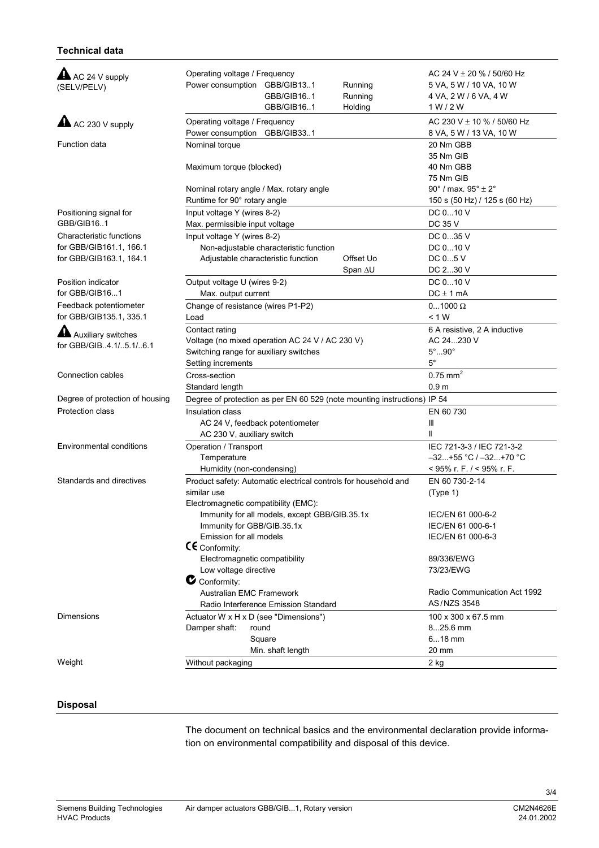### **Technical data**

| $\blacktriangle$ AC 24 V supply<br>(SELV/PELV)     | Operating voltage / Frequency<br>Power consumption GBB/GIB131<br>Running<br>GBB/GIB161<br>Running<br>GBB/GIB16.1<br>Holding | AC 24 V $\pm$ 20 % / 50/60 Hz<br>5 VA, 5 W / 10 VA, 10 W<br>4 VA, 2 W / 6 VA, 4 W<br>1 W/2 W |  |  |  |
|----------------------------------------------------|-----------------------------------------------------------------------------------------------------------------------------|----------------------------------------------------------------------------------------------|--|--|--|
| $\triangle$ AC 230 V supply                        | Operating voltage / Frequency<br>Power consumption GBB/GIB331                                                               | AC 230 V ± 10 % / 50/60 Hz<br>8 VA, 5 W / 13 VA, 10 W                                        |  |  |  |
| Function data                                      | Nominal torque                                                                                                              | 20 Nm GBB                                                                                    |  |  |  |
|                                                    |                                                                                                                             | 35 Nm GIB                                                                                    |  |  |  |
|                                                    | Maximum torque (blocked)                                                                                                    | 40 Nm GBB                                                                                    |  |  |  |
|                                                    |                                                                                                                             | 75 Nm GIB                                                                                    |  |  |  |
|                                                    | Nominal rotary angle / Max. rotary angle                                                                                    | 90° / max. $95^\circ \pm 2^\circ$                                                            |  |  |  |
|                                                    | Runtime for 90° rotary angle                                                                                                | 150 s (50 Hz) / 125 s (60 Hz)                                                                |  |  |  |
| Positioning signal for                             | Input voltage Y (wires 8-2)                                                                                                 | DC 010 V                                                                                     |  |  |  |
| GBB/GIB161                                         | Max. permissible input voltage                                                                                              | <b>DC 35 V</b>                                                                               |  |  |  |
| Characteristic functions                           | Input voltage Y (wires 8-2)                                                                                                 | DC 035 V                                                                                     |  |  |  |
| for GBB/GIB161.1, 166.1<br>for GBB/GIB163.1, 164.1 | Non-adjustable characteristic function                                                                                      | DC 010 V                                                                                     |  |  |  |
|                                                    | Adjustable characteristic function<br>Offset Uo<br>Span AU                                                                  | DC 05 V<br>DC 230 V                                                                          |  |  |  |
| Position indicator                                 | Output voltage U (wires 9-2)                                                                                                |                                                                                              |  |  |  |
| for GBB/GIB161                                     | Max. output current                                                                                                         | DC 010 V<br>$DC \pm 1$ mA                                                                    |  |  |  |
| Feedback potentiometer                             | Change of resistance (wires P1-P2)                                                                                          | $01000 \Omega$                                                                               |  |  |  |
| for GBB/GIB135.1, 335.1                            | Load                                                                                                                        | < 1 W                                                                                        |  |  |  |
|                                                    | Contact rating                                                                                                              | 6 A resistive, 2 A inductive                                                                 |  |  |  |
| Auxiliary switches                                 | Voltage (no mixed operation AC 24 V / AC 230 V)                                                                             | AC 24230 V                                                                                   |  |  |  |
| for GBB/GIB. 4.1/. 5.1/. 6.1                       | Switching range for auxiliary switches                                                                                      | $5^\circ$ 90 $^\circ$                                                                        |  |  |  |
|                                                    | Setting increments                                                                                                          | $5^{\circ}$                                                                                  |  |  |  |
| Connection cables                                  | Cross-section                                                                                                               | $0.75$ mm <sup>2</sup>                                                                       |  |  |  |
|                                                    | Standard length                                                                                                             | 0.9 <sub>m</sub>                                                                             |  |  |  |
| Degree of protection of housing                    | Degree of protection as per EN 60 529 (note mounting instructions) IP 54                                                    |                                                                                              |  |  |  |
| <b>Protection class</b>                            | Insulation class                                                                                                            | EN 60 730                                                                                    |  |  |  |
|                                                    | AC 24 V, feedback potentiometer                                                                                             | Ш                                                                                            |  |  |  |
|                                                    | AC 230 V, auxiliary switch                                                                                                  | Ш                                                                                            |  |  |  |
| Environmental conditions                           | Operation / Transport                                                                                                       | IEC 721-3-3 / IEC 721-3-2                                                                    |  |  |  |
|                                                    | Temperature                                                                                                                 | $-32+55$ °C / $-32+70$ °C                                                                    |  |  |  |
|                                                    | Humidity (non-condensing)                                                                                                   | < 95% r. F. $/$ < 95% r. F.                                                                  |  |  |  |
| Standards and directives                           | Product safety: Automatic electrical controls for household and                                                             | EN 60 730-2-14                                                                               |  |  |  |
|                                                    | similar use                                                                                                                 | (Type 1)                                                                                     |  |  |  |
|                                                    | Electromagnetic compatibility (EMC):                                                                                        |                                                                                              |  |  |  |
|                                                    | Immunity for all models, except GBB/GIB.35.1x                                                                               | IEC/EN 61 000-6-2                                                                            |  |  |  |
|                                                    | Immunity for GBB/GIB.35.1x<br>Emission for all models                                                                       | IEC/EN 61 000-6-1<br>IEC/EN 61 000-6-3                                                       |  |  |  |
|                                                    | $\mathsf{CE}$ Conformity:                                                                                                   |                                                                                              |  |  |  |
|                                                    | Electromagnetic compatibility                                                                                               | 89/336/EWG                                                                                   |  |  |  |
|                                                    | Low voltage directive                                                                                                       | 73/23/EWG                                                                                    |  |  |  |
|                                                    | $\bullet$ Conformity:                                                                                                       |                                                                                              |  |  |  |
|                                                    | Australian EMC Framework                                                                                                    | Radio Communication Act 1992                                                                 |  |  |  |
|                                                    | Radio Interference Emission Standard                                                                                        | AS/NZS 3548                                                                                  |  |  |  |
| <b>Dimensions</b>                                  | Actuator W x H x D (see "Dimensions")                                                                                       | 100 x 300 x 67.5 mm                                                                          |  |  |  |
|                                                    | Damper shaft:<br>round                                                                                                      | $825.6$ mm                                                                                   |  |  |  |
|                                                    | Square                                                                                                                      | $618$ mm                                                                                     |  |  |  |
|                                                    | Min. shaft length                                                                                                           | 20 mm                                                                                        |  |  |  |
| Weight                                             | Without packaging                                                                                                           | 2 kg                                                                                         |  |  |  |

#### **Disposal**

The document on technical basics and the environmental declaration provide information on environmental compatibility and disposal of this device.

3/4